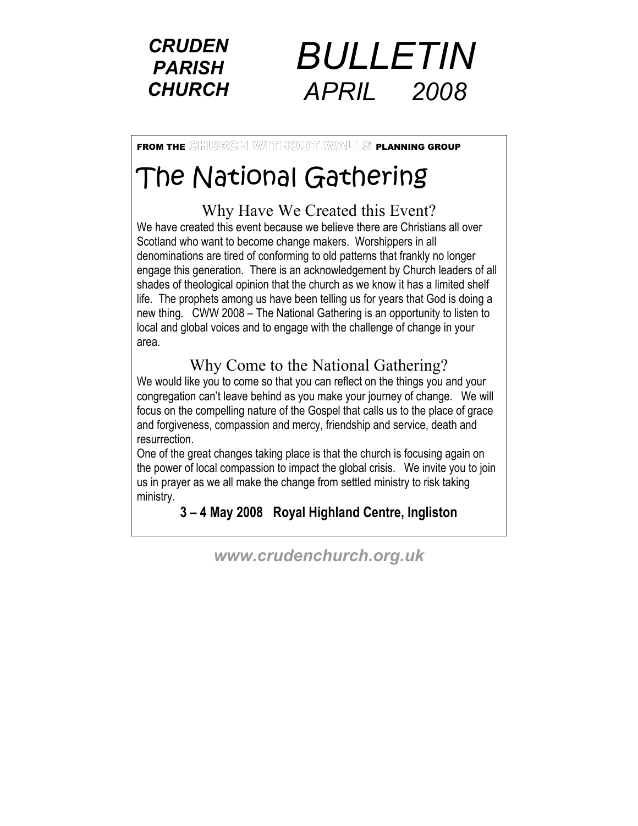



FROM THE GHIULRGH WITHOUT WALLS PLANNING GROUP

# The National Gathering

## Why Have We Created this Event?

We have created this event because we believe there are Christians all over Scotland who want to become change makers. Worshippers in all denominations are tired of conforming to old patterns that frankly no longer engage this generation. There is an acknowledgement by Church leaders of all shades of theological opinion that the church as we know it has a limited shelf life. The prophets among us have been telling us for years that God is doing a new thing. CWW 2008 – The National Gathering is an opportunity to listen to local and global voices and to engage with the challenge of change in your area.

# Why Come to the National Gathering?

We would like you to come so that you can reflect on the things you and your congregation can't leave behind as you make your journey of change. We will focus on the compelling nature of the Gospel that calls us to the place of grace and forgiveness, compassion and mercy, friendship and service, death and resurrection.

One of the great changes taking place is that the church is focusing again on the power of local compassion to impact the global crisis. We invite you to join us in prayer as we all make the change from settled ministry to risk taking ministry.

**3 – 4 May 2008 Royal Highland Centre, Ingliston** 

*www.crudenchurch.org.uk*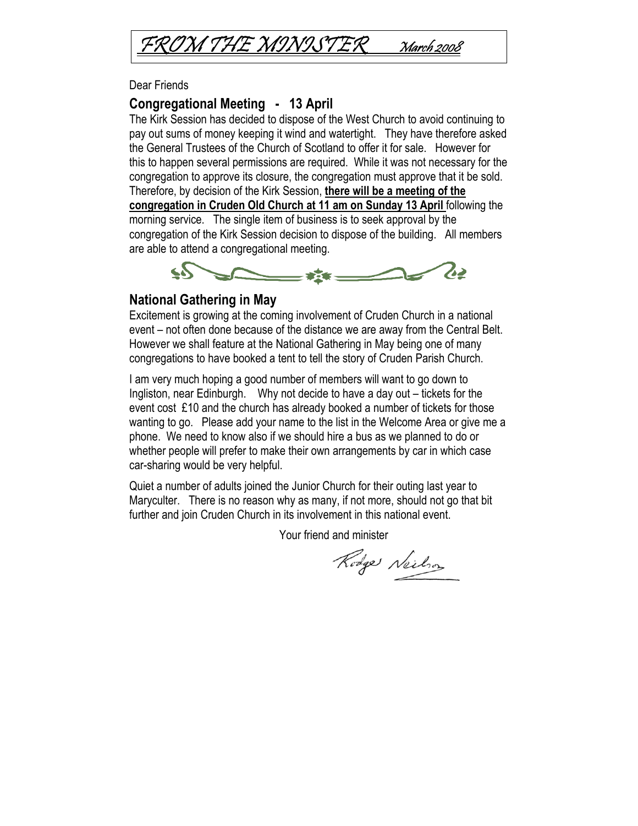

Dear Friends

### **Congregational Meeting - 13 April**

The Kirk Session has decided to dispose of the West Church to avoid continuing to pay out sums of money keeping it wind and watertight. They have therefore asked the General Trustees of the Church of Scotland to offer it for sale. However for this to happen several permissions are required. While it was not necessary for the congregation to approve its closure, the congregation must approve that it be sold. Therefore, by decision of the Kirk Session, **there will be a meeting of the congregation in Cruden Old Church at 11 am on Sunday 13 April** following the morning service. The single item of business is to seek approval by the congregation of the Kirk Session decision to dispose of the building. All members are able to attend a congregational meeting.



### **National Gathering in May**

Excitement is growing at the coming involvement of Cruden Church in a national event – not often done because of the distance we are away from the Central Belt. However we shall feature at the National Gathering in May being one of many congregations to have booked a tent to tell the story of Cruden Parish Church.

I am very much hoping a good number of members will want to go down to Ingliston, near Edinburgh. Why not decide to have a day out – tickets for the event cost £10 and the church has already booked a number of tickets for those wanting to go. Please add your name to the list in the Welcome Area or give me a phone. We need to know also if we should hire a bus as we planned to do or whether people will prefer to make their own arrangements by car in which case car-sharing would be very helpful.

Quiet a number of adults joined the Junior Church for their outing last year to Maryculter. There is no reason why as many, if not more, should not go that bit further and join Cruden Church in its involvement in this national event.

Your friend and minister

Rodge Neilson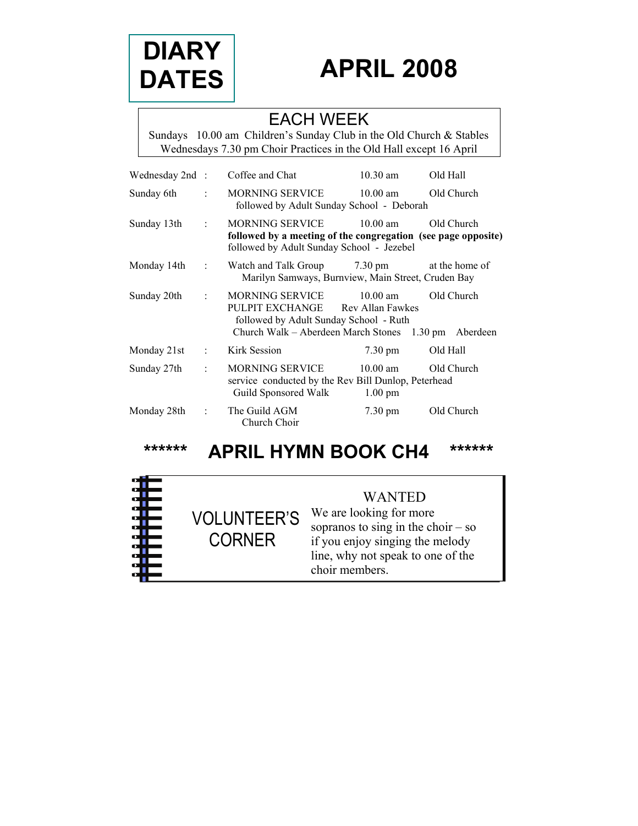

# **APRIL 2008**

### EACH WEEK

Sundays 10.00 am Children's Sunday Club in the Old Church & Stables Wednesdays 7.30 pm Choir Practices in the Old Hall except 16 April

| Wednesday 2nd : |                      | Coffee and Chat                                                                                                                                       | $10.30$ am                      | Old Hall       |
|-----------------|----------------------|-------------------------------------------------------------------------------------------------------------------------------------------------------|---------------------------------|----------------|
| Sunday 6th      | $\ddot{\phantom{a}}$ | MORNING SERVICE 10.00 am<br>followed by Adult Sunday School - Deborah                                                                                 |                                 | Old Church     |
| Sunday 13th     | ÷                    | MORNING SERVICE<br>followed by a meeting of the congregation (see page opposite)<br>followed by Adult Sunday School - Jezebel                         | $10.00 \text{ am}$              | Old Church     |
| Monday 14th     | $\sim$ 1.            | Watch and Talk Group 7.30 pm<br>Marilyn Samways, Burnview, Main Street, Cruden Bay                                                                    |                                 | at the home of |
| Sunday 20th     | ÷                    | MORNING SERVICE<br>PULPIT EXCHANGE Rev Allan Fawkes<br>followed by Adult Sunday School - Ruth<br>Church Walk – Aberdeen March Stones 1.30 pm Aberdeen | $10.00$ am                      | Old Church     |
| Monday 21st     | ÷                    | Kirk Session                                                                                                                                          | $7.30 \text{ pm}$               | Old Hall       |
| Sunday 27th     | ÷                    | MORNING SERVICE<br>service conducted by the Rev Bill Dunlop, Peterhead<br>Guild Sponsored Walk                                                        | $10.00$ am<br>$1.00 \text{ pm}$ | Old Church     |
| Monday 28th     | ÷                    | The Guild AGM<br>Church Choir                                                                                                                         | $7.30 \text{ pm}$               | Old Church     |

**\*\*\*\*\*\* APRIL HYMN BOOK CH4 \*\*\*\*\*\***

VOLUNTEER'S

CORNER

### WANTED

We are looking for more sopranos to sing in the choir  $-$  so if you enjoy singing the melody line, why not speak to one of the choir members.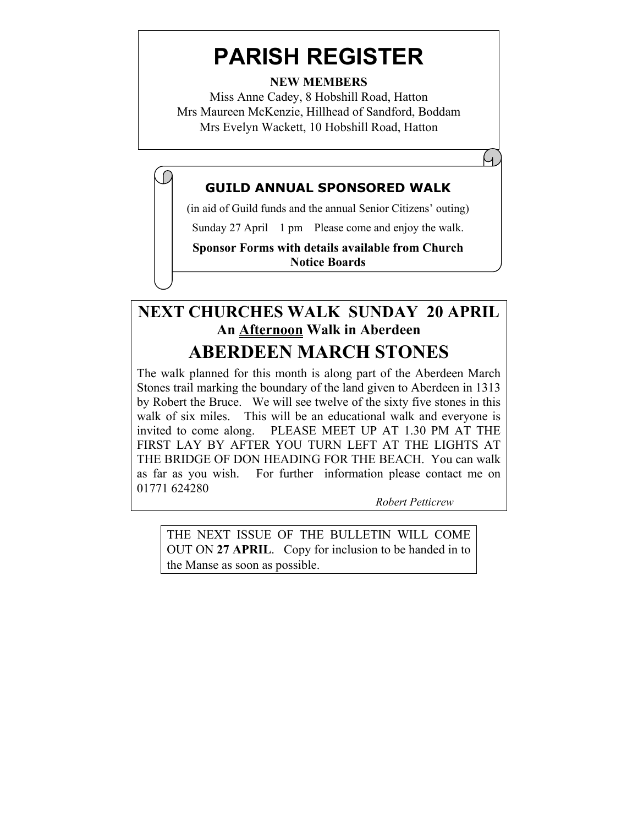# **PARISH REGISTER**

**NEW MEMBERS** 

Miss Anne Cadey, 8 Hobshill Road, Hatton Mrs Maureen McKenzie, Hillhead of Sandford, Boddam Mrs Evelyn Wackett, 10 Hobshill Road, Hatton

### **GUILD ANNUAL SPONSORED WALK**

(in aid of Guild funds and the annual Senior Citizens' outing)

Sunday 27 April 1 pm Please come and enjoy the walk.

**Sponsor Forms with details available from Church Notice Boards**

# **NEXT CHURCHES WALK SUNDAY 20 APRIL An Afternoon Walk in Aberdeen ABERDEEN MARCH STONES**

The walk planned for this month is along part of the Aberdeen March Stones trail marking the boundary of the land given to Aberdeen in 1313 by Robert the Bruce. We will see twelve of the sixty five stones in this walk of six miles. This will be an educational walk and everyone is invited to come along. PLEASE MEET UP AT 1.30 PM AT THE FIRST LAY BY AFTER YOU TURN LEFT AT THE LIGHTS AT THE BRIDGE OF DON HEADING FOR THE BEACH. You can walk as far as you wish. For further information please contact me on 01771 624280

*Robert Petticrew* 

 $\cup$ 

THE NEXT ISSUE OF THE BULLETIN WILL COME OUT ON **27 APRIL**. Copy for inclusion to be handed in to the Manse as soon as possible.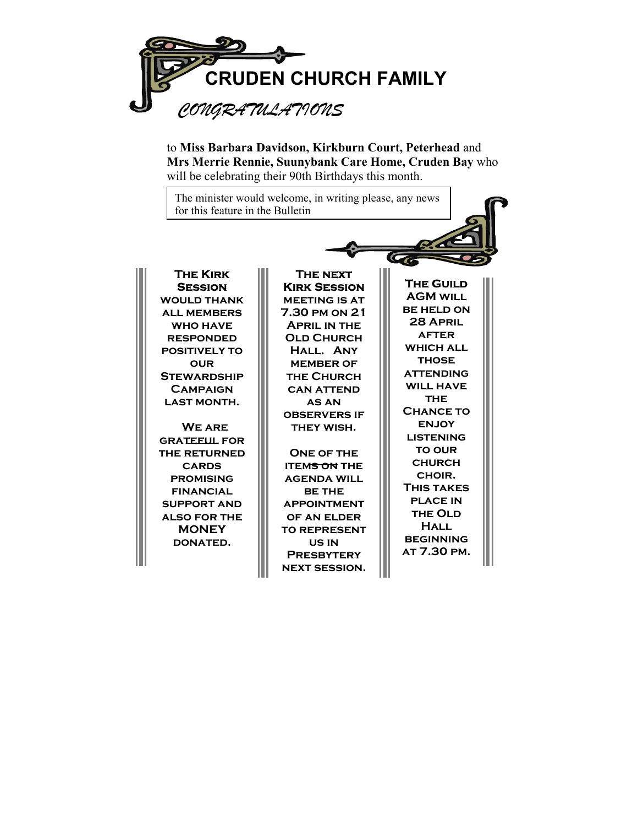

to **Miss Barbara Davidson, Kirkburn Court, Peterhead** and **Mrs Merrie Rennie, Suunybank Care Home, Cruden Bay** who will be celebrating their 90th Birthdays this month.

The minister would welcome, in writing please, any news for this feature in the Bulletin

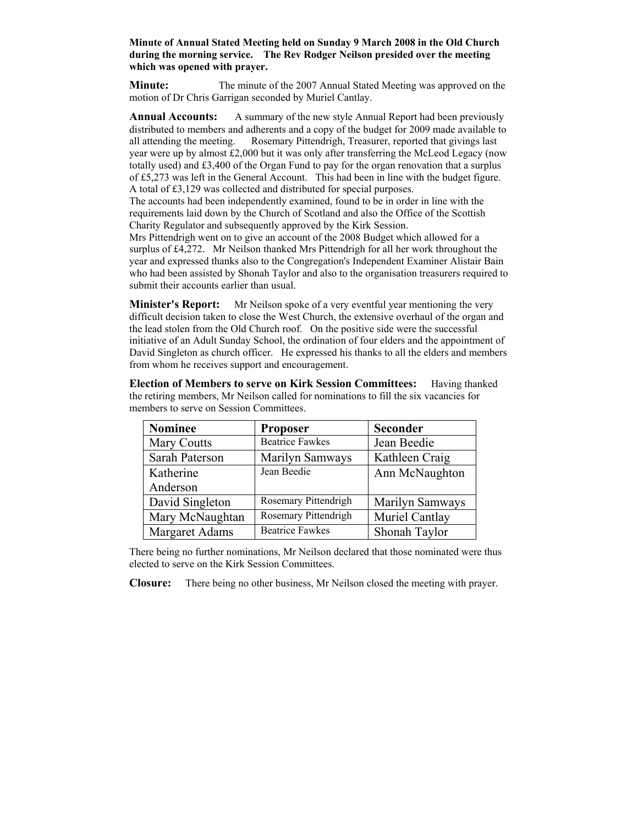#### **Minute of Annual Stated Meeting held on Sunday 9 March 2008 in the Old Church during the morning service. The Rev Rodger Neilson presided over the meeting which was opened with prayer.**

**Minute:** The minute of the 2007 Annual Stated Meeting was approved on the motion of Dr Chris Garrigan seconded by Muriel Cantlay.

**Annual Accounts:** A summary of the new style Annual Report had been previously distributed to members and adherents and a copy of the budget for 2009 made available to all attending the meeting. Rosemary Pittendrigh, Treasurer, reported that givings last year were up by almost £2,000 but it was only after transferring the McLeod Legacy (now totally used) and £3,400 of the Organ Fund to pay for the organ renovation that a surplus of £5,273 was left in the General Account. This had been in line with the budget figure. A total of £3,129 was collected and distributed for special purposes.

The accounts had been independently examined, found to be in order in line with the requirements laid down by the Church of Scotland and also the Office of the Scottish Charity Regulator and subsequently approved by the Kirk Session.

Mrs Pittendrigh went on to give an account of the 2008 Budget which allowed for a surplus of £4,272. Mr Neilson thanked Mrs Pittendrigh for all her work throughout the year and expressed thanks also to the Congregation's Independent Examiner Alistair Bain who had been assisted by Shonah Taylor and also to the organisation treasurers required to submit their accounts earlier than usual.

**Minister's Report:** Mr Neilson spoke of a very eventful year mentioning the very difficult decision taken to close the West Church, the extensive overhaul of the organ and the lead stolen from the Old Church roof. On the positive side were the successful initiative of an Adult Sunday School, the ordination of four elders and the appointment of David Singleton as church officer. He expressed his thanks to all the elders and members from whom he receives support and encouragement.

**Election of Members to serve on Kirk Session Committees:** Having thanked the retiring members, Mr Neilson called for nominations to fill the six vacancies for members to serve on Session Committees.

| <b>Nominee</b>        | <b>Proposer</b>        | <b>Seconder</b> |
|-----------------------|------------------------|-----------------|
| <b>Mary Coutts</b>    | <b>Beatrice Fawkes</b> | Jean Beedie     |
| Sarah Paterson        | Marilyn Samways        | Kathleen Craig  |
| Katherine             | Jean Beedie            | Ann McNaughton  |
| Anderson              |                        |                 |
| David Singleton       | Rosemary Pittendrigh   | Marilyn Samways |
| Mary McNaughtan       | Rosemary Pittendrigh   | Muriel Cantlay  |
| <b>Margaret Adams</b> | <b>Beatrice Fawkes</b> | Shonah Taylor   |

There being no further nominations, Mr Neilson declared that those nominated were thus elected to serve on the Kirk Session Committees.

**Closure:** There being no other business, Mr Neilson closed the meeting with prayer.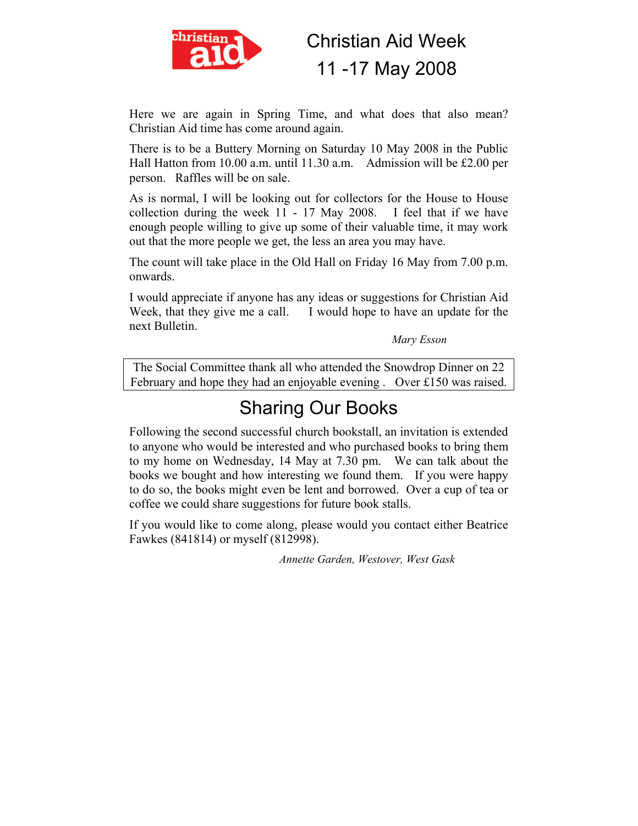

Christian Aid Week 11 -17 May 2008

Here we are again in Spring Time, and what does that also mean? Christian Aid time has come around again.

There is to be a Buttery Morning on Saturday 10 May 2008 in the Public Hall Hatton from 10.00 a.m. until 11.30 a.m. Admission will be £2.00 per person. Raffles will be on sale.

As is normal, I will be looking out for collectors for the House to House collection during the week 11 - 17 May 2008. I feel that if we have enough people willing to give up some of their valuable time, it may work out that the more people we get, the less an area you may have.

The count will take place in the Old Hall on Friday 16 May from 7.00 p.m. onwards.

I would appreciate if anyone has any ideas or suggestions for Christian Aid Week, that they give me a call. I would hope to have an update for the next Bulletin.

*Mary Esson* 

The Social Committee thank all who attended the Snowdrop Dinner on 22 February and hope they had an enjoyable evening . Over £150 was raised.

# Sharing Our Books

Following the second successful church bookstall, an invitation is extended to anyone who would be interested and who purchased books to bring them to my home on Wednesday, 14 May at 7.30 pm. We can talk about the books we bought and how interesting we found them. If you were happy to do so, the books might even be lent and borrowed. Over a cup of tea or coffee we could share suggestions for future book stalls.

If you would like to come along, please would you contact either Beatrice Fawkes (841814) or myself (812998).

*Annette Garden, Westover, West Gask*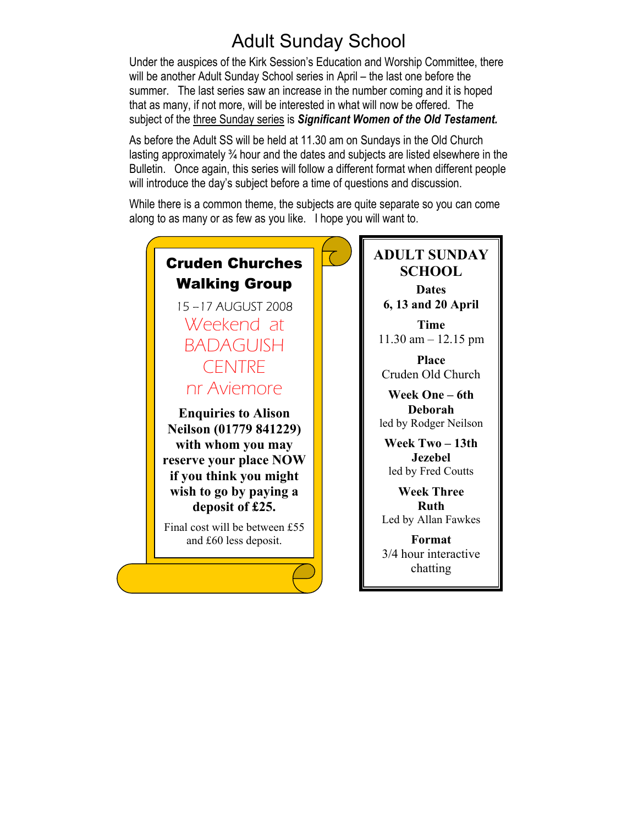# Adult Sunday School

Under the auspices of the Kirk Session's Education and Worship Committee, there will be another Adult Sunday School series in April – the last one before the summer. The last series saw an increase in the number coming and it is hoped that as many, if not more, will be interested in what will now be offered. The subject of the three Sunday series is *Significant Women of the Old Testament.*

As before the Adult SS will be held at 11.30 am on Sundays in the Old Church lasting approximately ¾ hour and the dates and subjects are listed elsewhere in the Bulletin. Once again, this series will follow a different format when different people will introduce the day's subject before a time of questions and discussion.

While there is a common theme, the subjects are quite separate so you can come along to as many or as few as you like. I hope you will want to.

## Cruden Churches Walking Group 15 –17 AUGUST 2008 Weekend at BADAGUISH CENTRE nr Aviemore **Enquiries to Alison Neilson (01779 841229) with whom you may reserve your place NOW if you think you might wish to go by paying a deposit of £25.**

Final cost will be between £55 and £60 less deposit.

### **ADULT SUNDAY SCHOOL Dates 6, 13 and 20 April**

**Time**  11.30 am – 12.15 pm

**Place**  Cruden Old Church

**Week One – 6th Deborah**  led by Rodger Neilson

**Week Two – 13th Jezebel**  led by Fred Coutts

**Week Three Ruth**  Led by Allan Fawkes

**Format**  3/4 hour interactive chatting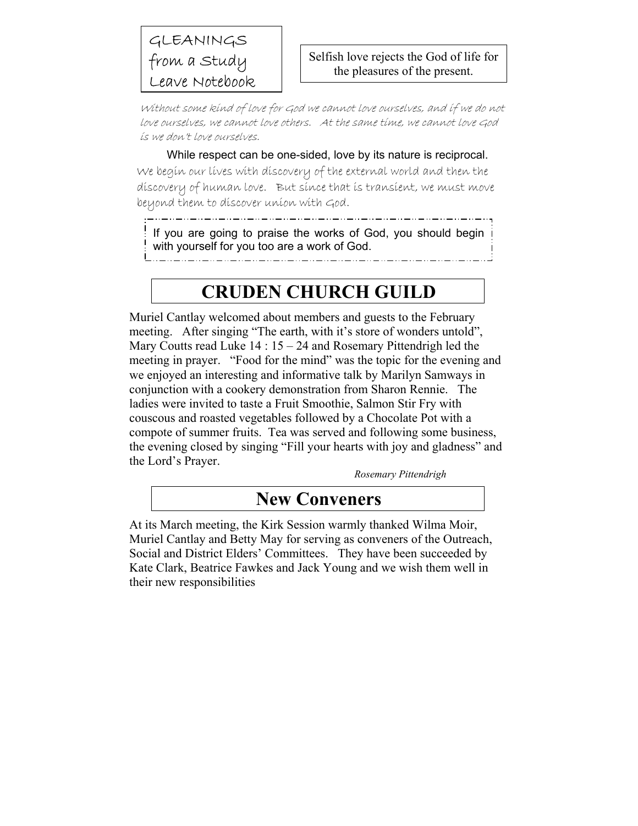### GLEANINGS from a Study Leave Notebook

Without some kind of love for God we cannot love ourselves, and if we do not love ourselves, we cannot love others. At the same time, we cannot love God is we don't love ourselves.

#### While respect can be one-sided, love by its nature is reciprocal.

We begin our lives with discovery of the external world and then the discovery of human love. But since that is transient, we must move beyond them to discover union with God.

If you are going to praise the works of God, you should begin with yourself for you too are a work of God.

# **CRUDEN CHURCH GUILD**

Muriel Cantlay welcomed about members and guests to the February meeting. After singing "The earth, with it's store of wonders untold", Mary Coutts read Luke 14 : 15 – 24 and Rosemary Pittendrigh led the meeting in prayer. "Food for the mind" was the topic for the evening and we enjoyed an interesting and informative talk by Marilyn Samways in conjunction with a cookery demonstration from Sharon Rennie. The ladies were invited to taste a Fruit Smoothie, Salmon Stir Fry with couscous and roasted vegetables followed by a Chocolate Pot with a compote of summer fruits. Tea was served and following some business, the evening closed by singing "Fill your hearts with joy and gladness" and the Lord's Prayer.

*Rosemary Pittendrigh* 

## **New Conveners**

At its March meeting, the Kirk Session warmly thanked Wilma Moir, Muriel Cantlay and Betty May for serving as conveners of the Outreach, Social and District Elders' Committees. They have been succeeded by Kate Clark, Beatrice Fawkes and Jack Young and we wish them well in their new responsibilities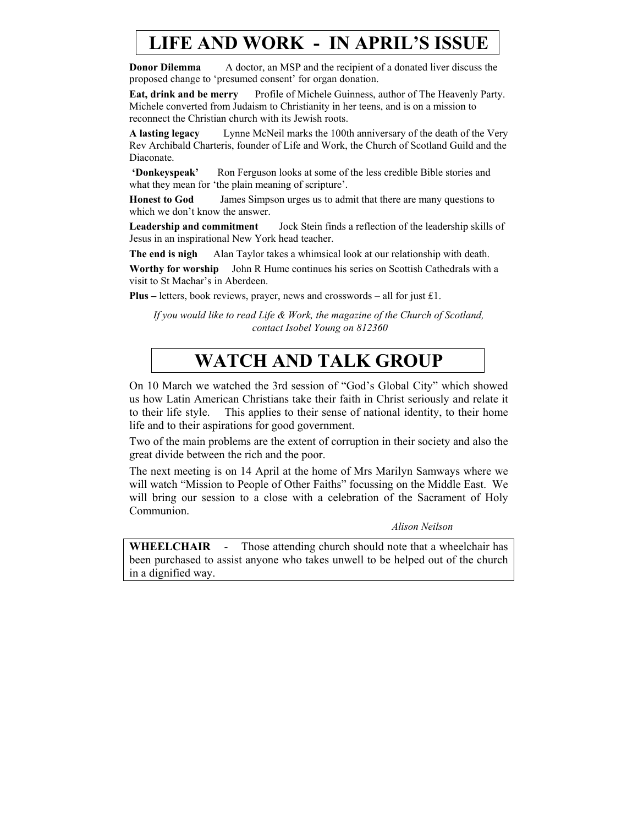# **LIFE AND WORK - IN APRIL'S ISSUE**

**Donor Dilemma** A doctor, an MSP and the recipient of a donated liver discuss the proposed change to 'presumed consent' for organ donation.

**Eat, drink and be merry** Profile of Michele Guinness, author of The Heavenly Party. Michele converted from Judaism to Christianity in her teens, and is on a mission to reconnect the Christian church with its Jewish roots.

**A lasting legacy** Lynne McNeil marks the 100th anniversary of the death of the Very Rev Archibald Charteris, founder of Life and Work, the Church of Scotland Guild and the Diaconate.

**'Donkeyspeak'** Ron Ferguson looks at some of the less credible Bible stories and what they mean for 'the plain meaning of scripture'.

**Honest to God** James Simpson urges us to admit that there are many questions to which we don't know the answer.

**Leadership and commitment** Jock Stein finds a reflection of the leadership skills of Jesus in an inspirational New York head teacher.

**The end is nigh** Alan Taylor takes a whimsical look at our relationship with death.

**Worthy for worship** John R Hume continues his series on Scottish Cathedrals with a visit to St Machar's in Aberdeen.

**Plus –** letters, book reviews, prayer, news and crosswords – all for just £1.

*If you would like to read Life & Work, the magazine of the Church of Scotland, contact Isobel Young on 812360* 

# **WATCH AND TALK GROUP**

On 10 March we watched the 3rd session of "God's Global City" which showed us how Latin American Christians take their faith in Christ seriously and relate it to their life style. This applies to their sense of national identity, to their home life and to their aspirations for good government.

Two of the main problems are the extent of corruption in their society and also the great divide between the rich and the poor.

The next meeting is on 14 April at the home of Mrs Marilyn Samways where we will watch "Mission to People of Other Faiths" focussing on the Middle East. We will bring our session to a close with a celebration of the Sacrament of Holy Communion.

*Alison Neilson* 

**WHEELCHAIR** - Those attending church should note that a wheelchair has been purchased to assist anyone who takes unwell to be helped out of the church in a dignified way.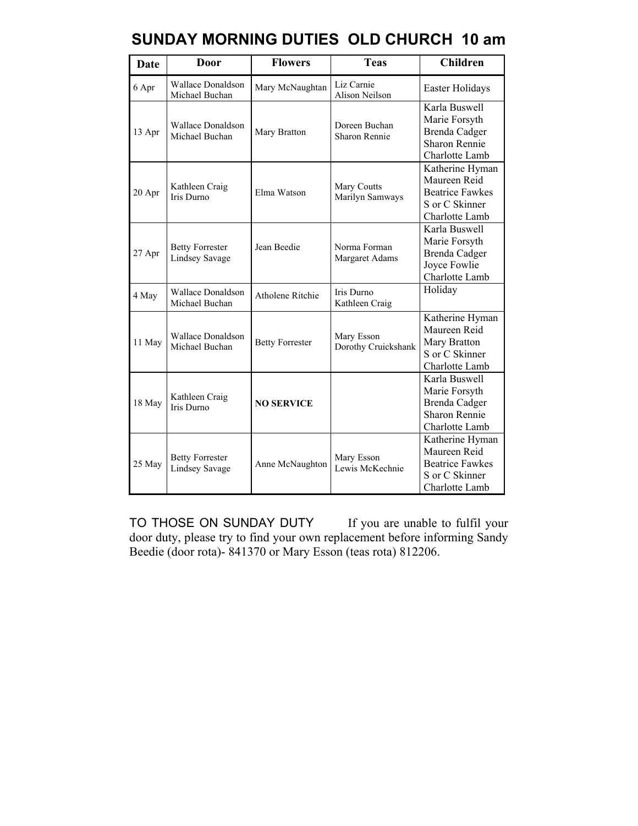| Date   | Door                                            | <b>Flowers</b>          | <b>Teas</b>                         | <b>Children</b>                                                                                  |
|--------|-------------------------------------------------|-------------------------|-------------------------------------|--------------------------------------------------------------------------------------------------|
| 6 Apr  | <b>Wallace Donaldson</b><br>Michael Buchan      | Mary McNaughtan         | Liz Carnie<br><b>Alison Neilson</b> | Easter Holidays                                                                                  |
| 13 Apr | <b>Wallace Donaldson</b><br>Michael Buchan      | Mary Bratton            | Doreen Buchan<br>Sharon Rennie      | Karla Buswell<br>Marie Forsyth<br><b>Brenda Cadger</b><br><b>Sharon Rennie</b><br>Charlotte Lamb |
| 20 Apr | Kathleen Craig<br><b>Iris Durno</b>             | Elma Watson             | Mary Coutts<br>Marilyn Samways      | Katherine Hyman<br>Maureen Reid<br><b>Beatrice Fawkes</b><br>S or C Skinner<br>Charlotte Lamb    |
| 27 Apr | <b>Betty Forrester</b><br><b>Lindsey Savage</b> | Jean Beedie             | Norma Forman<br>Margaret Adams      | Karla Buswell<br>Marie Forsyth<br>Brenda Cadger<br>Joyce Fowlie<br>Charlotte Lamb                |
| 4 May  | <b>Wallace Donaldson</b><br>Michael Buchan      | <b>Atholene Ritchie</b> | Iris Durno<br>Kathleen Craig        | Holiday                                                                                          |
| 11 May | Wallace Donaldson<br>Michael Buchan             | <b>Betty Forrester</b>  | Mary Esson<br>Dorothy Cruickshank   | Katherine Hyman<br>Maureen Reid<br>Mary Bratton<br>S or C Skinner<br>Charlotte Lamb              |
| 18 May | Kathleen Craig<br><b>Iris Durno</b>             | <b>NO SERVICE</b>       |                                     | Karla Buswell<br>Marie Forsyth<br><b>Brenda Cadger</b><br><b>Sharon Rennie</b><br>Charlotte Lamb |
| 25 May | <b>Betty Forrester</b><br><b>Lindsey Savage</b> | Anne McNaughton         | Mary Esson<br>Lewis McKechnie       | Katherine Hyman<br>Maureen Reid<br><b>Beatrice Fawkes</b><br>S or C Skinner<br>Charlotte Lamb    |

### **SUNDAY MORNING DUTIES OLD CHURCH 10 am**

TO THOSE ON SUNDAY DUTY If you are unable to fulfil your door duty, please try to find your own replacement before informing Sandy Beedie (door rota)- 841370 or Mary Esson (teas rota) 812206.